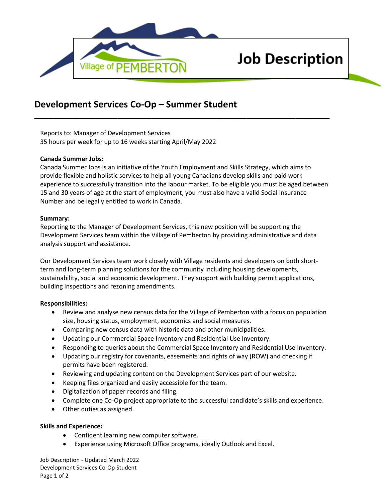

# **Job Description**

# **Development Services Co-Op – Summer Student**

Reports to: Manager of Development Services 35 hours per week for up to 16 weeks starting April/May 2022

#### **Canada Summer Jobs:**

Canada Summer Jobs is an initiative of the Youth Employment and Skills Strategy, which aims to provide flexible and holistic services to help all young Canadians develop skills and paid work experience to successfully transition into the labour market. To be eligible you must be aged between 15 and 30 years of age at the start of employment, you must also have a valid Social Insurance Number and be legally entitled to work in Canada.

**\_\_\_\_\_\_\_\_\_\_\_\_\_\_\_\_\_\_\_\_\_\_\_\_\_\_\_\_\_\_\_\_\_\_\_\_\_\_\_\_\_\_\_\_\_\_\_\_\_\_\_\_\_\_\_\_\_\_\_\_\_\_\_\_\_\_\_\_\_\_\_\_\_\_\_\_\_\_**

#### **Summary:**

Reporting to the Manager of Development Services, this new position will be supporting the Development Services team within the Village of Pemberton by providing administrative and data analysis support and assistance.

Our Development Services team work closely with Village residents and developers on both shortterm and long-term planning solutions for the community including housing developments, sustainability, social and economic development. They support with building permit applications, building inspections and rezoning amendments.

## **Responsibilities:**

- Review and analyse new census data for the Village of Pemberton with a focus on population size, housing status, employment, economics and social measures.
- Comparing new census data with historic data and other municipalities.
- Updating our Commercial Space Inventory and Residential Use Inventory.
- Responding to queries about the Commercial Space Inventory and Residential Use Inventory.
- Updating our registry for covenants, easements and rights of way (ROW) and checking if permits have been registered.
- Reviewing and updating content on the Development Services part of our website.
- Keeping files organized and easily accessible for the team.
- Digitalization of paper records and filing.
- Complete one Co-Op project appropriate to the successful candidate's skills and experience.
- Other duties as assigned.

## **Skills and Experience:**

- Confident learning new computer software.
- Experience using Microsoft Office programs, ideally Outlook and Excel.

Job Description - Updated March 2022 Development Services Co-Op Student Page 1 of 2